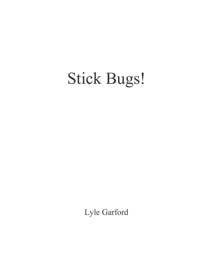## Stick Bugs!

Lyle Garford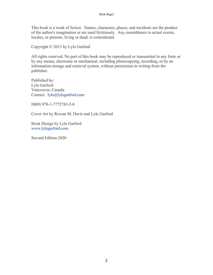This book is a work of fiction. Names, characters, places, and incidents are the product of the author's imagination or are used fictitiously. Any resemblance to actual events, locales, or persons, living or dead, is coincidental.

Copyright © 2013 by Lyle Garford

All rights reserved. No part of this book may be reproduced or transmitted in any form or by any means, electronic or mechanical, including photocopying, recording, or by an information storage and retrieval system, without permission in writing from the publisher.

Published by: Lyle Garford Vancouver, Canada Contact: lyle@lylegarford.com

ISBN 978-1-7772783-2-8

Cover Art by Rowan M. Davis and Lyle Garford

Book Design by Lyle Garford www.lylegarford.com

Second Edition 2020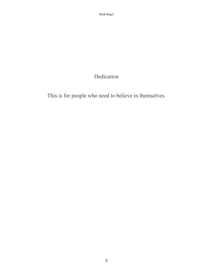## Dedication

This is for people who need to believe in themselves.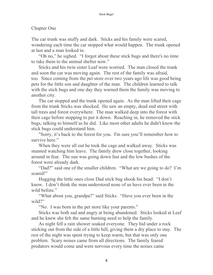## Chapter One

The car trunk was stuffy and dark. Sticks and his family were scared, wondering each time the car stopped what would happen. The trunk opened at last and a man looked in.

"Oh no," he sighed. "I forgot about these stick bugs and there's no time to take them to the animal shelter now."

Sticks and his twin sister Leaf were worried. The man closed the trunk and soon the car was moving again. The rest of the family was afraid, too. Since coming from the pet store over two years ago life was good being pets for the little son and daughter of the man. The children learned to talk with the stick bugs and one day they warned them the family was moving to another city.

The car stopped and the trunk opened again. As the man lifted their cage from the trunk Sticks was shocked. He saw an empty, dead end street with tall trees and forest everywhere. The man walked deep into the forest with their cage before stopping to put it down. Reaching in, he removed the stick bugs, talking to himself as he did. Like most other adults he didn't know the stick bugs could understand him.

"Sorry, it's back to the forest for you. I'm sure you'll remember how to survive here."

When they were all out he took the cage and walked away. Sticks was stunned watching him leave. The family drew close together, looking around in fear. The sun was going down fast and the low bushes of the forest were already dark.

"Dad?" said one of the smaller children. "What are we going to do? I'm scared!"

Hugging the little ones close Dad stick bug shook his head. "I don't know. I don't think the man understood none of us have ever been in the wild before."

"What about you, grandpa?" said Sticks. "Have you ever been in the wild?"

"No. I was born in the pet store like your parents."

Sticks was both sad and angry at being abandoned. Sticks looked at Leaf and he knew she felt the same burning need to help the family.

As night fell a rain shower soaked everyone. They hid under a rock sticking out from the side of a little hill, giving them a dry place to stay. The rest of the night was spent trying to keep warm, but that was only one problem. Scary noises came from all directions. The family feared predators would come and were nervous every time the noises came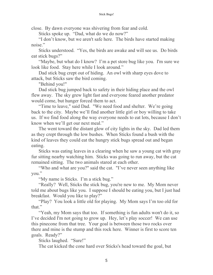close. By dawn everyone was shivering from fear and cold.

Sticks spoke up. "Dad, what do we do now?"

"I don't know, but we aren't safe here. The birds have started making noise."

Sticks understood. "Yes, the birds are awake and will see us. Do birds eat stick bugs?"

"Maybe, but what do I know? I'm a pet store bug like you. I'm sure we look like food. Stay here while I look around."

Dad stick bug crept out of hiding. An owl with sharp eyes dove to attack, but Sticks saw the bird coming.

"Behind you!"

Dad stick bug jumped back to safety in their hiding place and the owl flew away. The sky grew light fast and everyone feared another predator would come, but hunger forced them to act.

"Time to leave," said Dad. "We need food and shelter. We're going back to the city. Maybe we'll find another little girl or boy willing to take us. If we find food along the way everyone needs to eat lots, because I don't know when we'll get our next meal."

The went toward the distant glow of city lights in the sky. Dad led them as they crept through the low bushes. When Sticks found a bush with the kind of leaves they could eat the hungry stick bugs spread out and began eating.

Sticks was eating leaves in a clearing when he saw a young cat with gray fur sitting nearby watching him. Sticks was going to run away, but the cat remained sitting. The two animals stared at each other.

"Who and what are you?" said the cat. "I've never seen anything like you."

"My name is Sticks. I'm a stick bug."

"Really? Well, Sticks the stick bug, you're new to me. My Mom never told me about bugs like you. I suppose I should be eating you, but I just had breakfast. Would you like to play?"

"Play? You look a little old for playing. My Mom says I'm too old for that."

"Yeah, my Mom says that too. If something is fun adults won't do it, so I've decided I'm not going to grow up. Hey, let's play soccer! We can use this pinecone from that tree. Your goal is between those two rocks over there and mine is the stump and this rock here. Winner is first to score ten goals. Ready?"

Sticks laughed. "Sure!"

The cat kicked the cone hard over Sticks's head toward the goal, but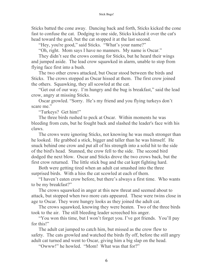Sticks batted the cone away. Dancing back and forth, Sticks kicked the cone fast to confuse the cat. Dodging to one side, Sticks kicked it over the cat's head toward the goal, but the cat stopped it at the last second.

"Hey, you're good," said Sticks. "What's your name?"

"Oh, right. Mom says I have no manners. My name is Oscar."

They didn't see the crows coming for Sticks, but he heard their wings and jumped aside. The lead crow squawked in alarm, unable to stop from flying face first into a bush.

The two other crows attacked, but Oscar stood between the birds and Sticks. The crows stopped as Oscar hissed at them. The first crow joined the others. Squawking, they all scowled at the cat.

"Get out of our way. I'm hungry and the bug is breakfast," said the lead crow, angry at missing Sticks.

Oscar growled. "Sorry. He's my friend and you flying turkeys don't scare me."

"Turkeys? Get him!"

The three birds rushed to peck at Oscar. Within moments he was bleeding from cuts, but he fought back and slashed the leader's face with his claws.

The crows were ignoring Sticks, not knowing he was much stronger than he looked. He grabbed a stick, bigger and taller than he was himself. He snuck behind one crow and put all of his strength into a solid hit to the side of the bird's head. Stunned, the crow fell to the side. The second bird dodged the next blow. Oscar and Sticks drove the two crows back, but the first crow returned. The little stick bug and the cat kept fighting hard.

Both were getting tired when an adult cat smashed into the three surprised birds. With a hiss the cat scowled at each of them.

"I haven't eaten crow before, but there's always a first time. Who wants to be my breakfast?"

The crows squawked in anger at this new threat and seemed about to attack, but stopped when two more cats appeared. These were twins close in age to Oscar. They wore hungry looks as they joined the adult cat.

The crows squawked, knowing they were beaten. Two of the three birds took to the air. The still bleeding leader screeched his anger.

"You won this time, but I won't forget you. I've got friends. You'll pay for this!"

The adult cat jumped to catch him, but missed as the crow flew to safety. The cats growled and watched the birds fly off, before the still angry adult cat turned and went to Oscar, giving him a big slap on the head.

"Owww!" he howled. "Mom! What was that for?"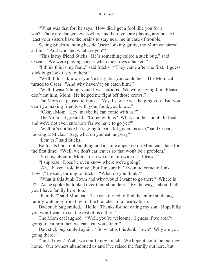"What was that for, he says. How did I get a fool like you for a son? There are dangers everywhere and here you are playing around. At least your sisters have the brains to stay near me in case of trouble."

Seeing Sticks standing beside Oscar looking guilty, the Mom cat stared at him. "And who and what are you?"

"This is my friend Sticks. He's something called a stick bug," said Oscar. "We were playing soccer when the crows attacked."

"I think this is my fault," said Sticks. "They came after me first. I guess stick bugs look tasty to them."

"Well, I don't know if you're tasty, but you could be." The Mom cat turned to Oscar. "And why haven't you eaten him?"

"Well, I wasn't hungry and I was curious. We were having fun. Please don't eat him, Mom. He helped me fight off those crows."

The Mom cat paused to think. "Yes, I saw he was helping you. But you can't go making friends with your food, you know."

"Okay, Mom. Hey, maybe he can come with us?"

The Mom cat groaned. "Come with us? What, another mouth to feed and we're not even sure how far we have to go yet?"

"Well, it's not like he's going to eat a lot given his size," said Oscar, looking at Sticks. "Say, what do you eat, anyway?"

"Leaves," said Sticks.

Both cats burst out laughing and a smile appeared on Mom cat's face for the first time. "Well, we don't eat leaves so that won't be a problem."

"So how about it, Mom? Can we take him with us? Please?"

"I suppose. Does he even know where we're going?"

"Ah, I haven't told him yet, but I'm sure he'll want to come to Junk Town," he said, turning to Sticks. "What do you think?"

"What is this Junk Town and why would I want to go there? Where is it?" As he spoke he looked over their shoulders. "By the way, I should tell you I have family here, too."

"Family?" said Mom cat. The cats turned to find the entire stick bug family watching from high in the branches of a nearby bush.

Dad stick bug smiled. "Hello. Thanks for not eating my son. Hopefully you won't want to eat the rest of us either."

The Mom cat laughed. "Well, you're welcome. I guess if we aren't going to eat him then we can't eat you either."

Dad stick bug smiled again. "So what is this Junk Town? Why are you going there?"

"Junk Town? Well, we don't know much. We hope it could be our new home. Our owners abandoned us and I've raised the family out here, but